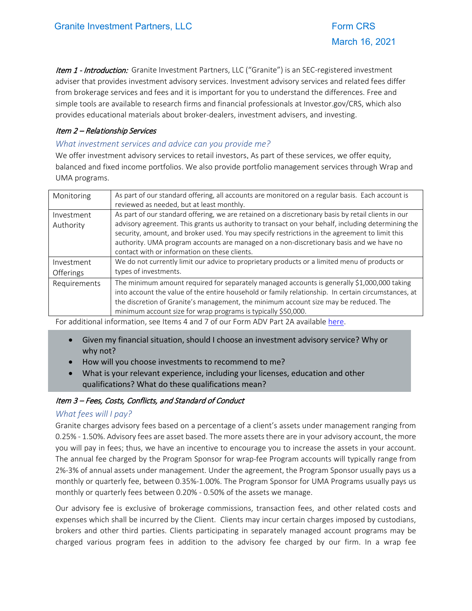Item 1 - Introduction: Granite Investment Partners, LLC ("Granite") is an SEC-registered investment adviser that provides investment advisory services. Investment advisory services and related fees differ from brokerage services and fees and it is important for you to understand the differences. Free and simple tools are available to research firms and financial professionals at Investor.gov/CRS, which also provides educational materials about broker-dealers, investment advisers, and investing.

#### Item 2 – Relationship Services

#### *What investment services and advice can you provide me?*

We offer investment advisory services to retail investors. As part of these services, we offer equity, balanced and fixed income portfolios. We also provide portfolio management services through Wrap and UMA programs.

| As part of our standard offering, all accounts are monitored on a regular basis. Each account is    |
|-----------------------------------------------------------------------------------------------------|
| reviewed as needed, but at least monthly.                                                           |
| As part of our standard offering, we are retained on a discretionary basis by retail clients in our |
| advisory agreement. This grants us authority to transact on your behalf, including determining the  |
| security, amount, and broker used. You may specify restrictions in the agreement to limit this      |
| authority. UMA program accounts are managed on a non-discretionary basis and we have no             |
| contact with or information on these clients.                                                       |
| We do not currently limit our advice to proprietary products or a limited menu of products or       |
| types of investments.                                                                               |
| The minimum amount required for separately managed accounts is generally \$1,000,000 taking         |
| into account the value of the entire household or family relationship. In certain circumstances, at |
| the discretion of Granite's management, the minimum account size may be reduced. The                |
| minimum account size for wrap programs is typically \$50,000.                                       |
|                                                                                                     |

For additional information, see Items 4 and 7 of our Form ADV Part 2A available [here.](https://adviserinfo.sec.gov/firm/summary/150632) 

- Given my financial situation, should I choose an investment advisory service? Why or why not?
- How will you choose investments to recommend to me?
- What is your relevant experience, including your licenses, education and other qualifications? What do these qualifications mean?

#### Item 3 – Fees, Costs, Conflicts, and Standard of Conduct

## *What fees will I pay?*

Granite charges advisory fees based on a percentage of a client's assets under management ranging from 0.25% - 1.50%. Advisory fees are asset based. The more assets there are in your advisory account, the more you will pay in fees; thus, we have an incentive to encourage you to increase the assets in your account. The annual fee charged by the Program Sponsor for wrap-fee Program accounts will typically range from 2%-3% of annual assets under management. Under the agreement, the Program Sponsor usually pays us a monthly or quarterly fee, between 0.35%-1.00%. The Program Sponsor for UMA Programs usually pays us monthly or quarterly fees between 0.20% - 0.50% of the assets we manage.

Our advisory fee is exclusive of brokerage commissions, transaction fees, and other related costs and expenses which shall be incurred by the Client. Clients may incur certain charges imposed by custodians, brokers and other third parties. Clients participating in separately managed account programs may be charged various program fees in addition to the advisory fee charged by our firm. In a wrap fee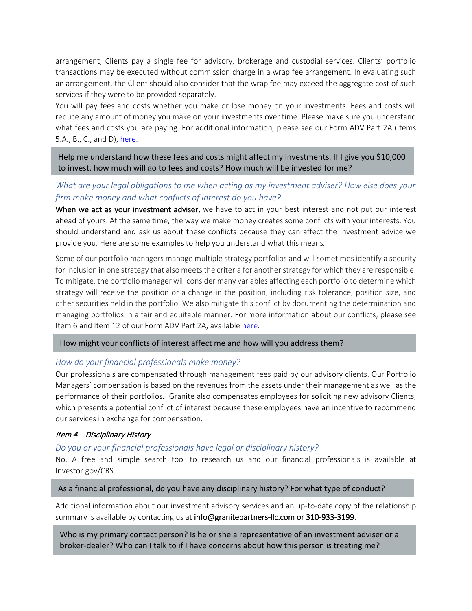arrangement, Clients pay a single fee for advisory, brokerage and custodial services. Clients' portfolio transactions may be executed without commission charge in a wrap fee arrangement. In evaluating such an arrangement, the Client should also consider that the wrap fee may exceed the aggregate cost of such services if they were to be provided separately.

You will pay fees and costs whether you make or lose money on your investments. Fees and costs will reduce any amount of money you make on your investments over time. Please make sure you understand what fees and costs you are paying. For additional information, please see our Form ADV Part 2A (Items 5.A., B., C., and D), [here.](https://adviserinfo.sec.gov/firm/summary/150632)

Help me understand how these fees and costs might affect my investments. If I give you \$10,000 to invest, how much will go to fees and costs? How much will be invested for me?

# *What are your legal obligations to me when acting as my investment adviser? How else does your firm make money and what conflicts of interest do you have?*

When we act as your investment adviser, we have to act in your best interest and not put our interest ahead of yours. At the same time, the way we make money creates some conflicts with your interests. You should understand and ask us about these conflicts because they can affect the investment advice we provide you. Here are some examples to help you understand what this means*.*

Some of our portfolio managers manage multiple strategy portfolios and will sometimes identify a security for inclusion in one strategy that also meets the criteria for another strategy for which they are responsible. To mitigate, the portfolio manager will consider many variables affecting each portfolio to determine which strategy will receive the position or a change in the position, including risk tolerance, position size, and other securities held in the portfolio. We also mitigate this conflict by documenting the determination and managing portfolios in a fair and equitable manner. For more information about our conflicts, please see Item 6 and Item 12 of our Form ADV Part 2A, available [here.](https://adviserinfo.sec.gov/firm/summary/150632)

#### How might your conflicts of interest affect me and how will you address them?

## *How do your financial professionals make money?*

Our professionals are compensated through management fees paid by our advisory clients. Our Portfolio Managers' compensation is based on the revenues from the assets under their management as well as the performance of their portfolios. Granite also compensates employees for soliciting new advisory Clients, which presents a potential conflict of interest because these employees have an incentive to recommend our services in exchange for compensation.

## Item 4 – Disciplinary History

## *Do you or your financial professionals have legal or disciplinary history?*

No. A free and simple search tool to research us and our financial professionals is available at Investor.gov/CRS.

#### As a financial professional, do you have any disciplinary history? For what type of conduct?

Additional information about our investment advisory services and an up-to-date copy of the relationship summary is available by contacting us at info@granitepartners-llc.com or 310-933-3199.

Who is my primary contact person? Is he or she a representative of an investment adviser or a broker-dealer? Who can I talk to if I have concerns about how this person is treating me?